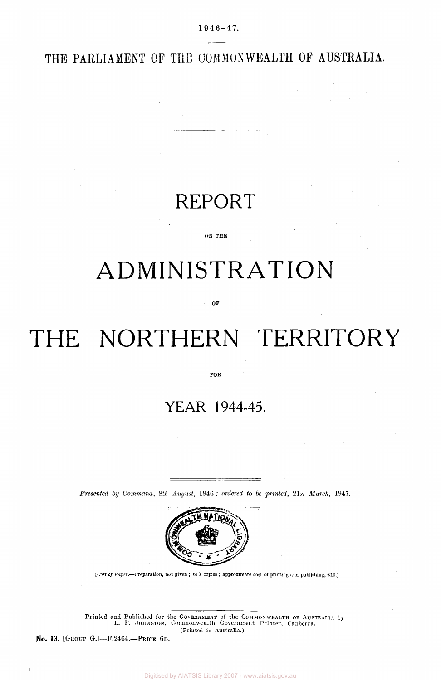$1946 - 47.$ 

THE PARLIAMENT OF THE COMMONWEALTH OF AUSTRALIA.

### REPORT

#### ON THE

## ADMINISTRATION

OF

# THE NORTHERN TERRITORY

FOR

### YEAR 1944-45.

*Presented by Command, 8th August,* 1946 ; *ordered to be printed, 21st March,* 1947.



*[Cost of Paper.*—Preparation, not given ; 613 copies ; approximate cost of printing and publishing, £10.]

Printed and Published for the GOVERNMENT of the COMMONWEALTH OF AUSTRALIA by L. F. JOHNSTON, Commonwealth Government Printer, Canberra. (Printed in Australia.)

No. 13. [GROUP G.]—F.2464.—PRICE 6D.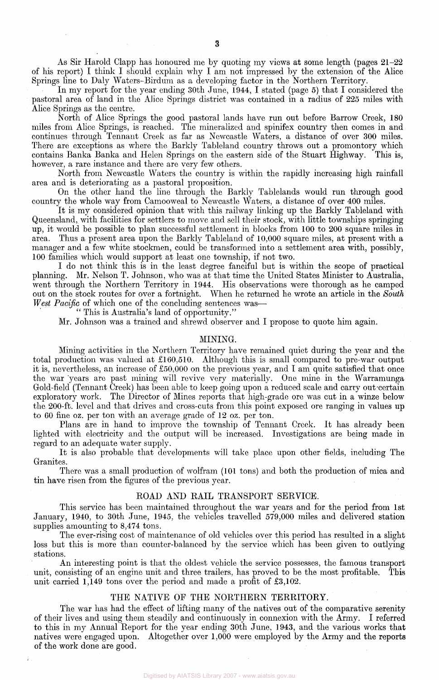As Sir Harold Clapp has honoured me by quoting my views at some length (pages 21-22 of his report) I think I should explain why I am not impressed by the extension of the Alice Springs line to Daly Waters-Birdum as a developing factor in the Northern Territory.

In my report for the year ending 30th June, 1944, I stated (page 5) that I considered the pastoral area of land in the Alice Springs district was contained in a radius of 225 miles with Alice Springs as the centre.

North of Alice Springs the good pastoral lands have run out before Barrow Creek, 180 miles from Alice Springs, is reached. The mineralized and spinifex country then comes in and continues through Tennant Creek as far as Newcastle Waters, a distance of over 300 miles. There are exceptions as where the Barkly Tableland country throws out a promontory which contains Banka Banka and Helen Springs on the eastern side of the Stuart Highway. This is, however, a rare instance and there are very few others.

North from Newcastle Waters the country is within the rapidly increasing high rainfall area and is deteriorating as a pastoral proposition.

On the other hand the line through the Barkly Tablelands would run through good country the whole way from Camooweal to Newcastle Waters, a distance of over 400 miles.

It is my considered opinion that with this railway linking up the Barkly Tableland with Queensland, with facilities for settlers to move and sell their stock, with little townships springing up, it would be possible to plan successful settlement in blocks from 100 to 200 square miles in area. Thus a present area upon the Barkly Tableland of 10,000 square miles, at present with a manager and a few white stockmen, could be transformed into a settlement area with, possibly, 100 families which would support at least one township, if not two.

I do not think this is in the least degree fanciful but is within the scope of practical planning. Mr. Nelson T. Johnson, who was at that time the United States Minister to Australia, went through the Northern Territory in 1944. His observations were thorough as he camped out on the stock routes for over a fortnight. When he returned he wrote an article in the *South West Pacific* of which one of the concluding sentences was-

" This is Australia's land of opportunity."

Mr. Johnson was a trained and shrewd observer and I propose to quote him again.

#### MINING.

Mining activities in the Northern Territory have remained quiet during the year and the total production was valued at £160,510. Although this is small compared to pre-war output it is, nevertheless, an increase of £50,000 on the previous year, and I am quite satisfied that once the war years are past mining will revive very materially. One mine in the Warramunga Gold-field (Tennant Creek) has been able to keep going upon a reduced scale and carry out-certain exploratory work. The Director of Mines reports that high-grade ore was cut in a winze below the 200-ft. level and that drives and cross-cuts from this point exposed ore ranging in values up to 60 fine oz. per ton with an average grade of 12 oz. per ton.

Plans are in hand to improve the township of Tennant Creek. It has already been lighted with electricity and the output will be increased. Investigations are being made in regard to an adequate water supply.

It is also probable that developments will take place upon other fields, including The Granites.

There was a small production of wolfram (101 tons) and both the production of mica and tin have risen from the figures of the previous year.

#### ROAD AND RAIL TRANSPORT SERVICE.

This service has been maintained throughout the war years and for the period from 1st January, 1940, to 30th June, 1945, the vehicles travelled 579,000 miles and delivered station supplies amounting to 8,474 tons.

The ever-rising cost of maintenance of old vehicles over this period has resulted in a slight loss but this is more than counter-balanced by the service which has been given to outlying stations.

An interesting point is that the oldest vehicle the service possesses, the famous transport unit, consisting of an engine unit and three trailers, has proved to be the most profitable. This unit carried 1,149 tons over the period and made a profit of £3,102.

#### THE NATIVE OF THE NORTHERN TERRITORY.

The war has had the effect of lifting many of the natives out of the comparative serenity of their lives and using them steadily and continuously in connexion with the Army. I referred to this in my Annual Report for the year ending 30th June, 1943, and the various works that natives were engaged upon. Altogether over 1,000 were employed by the Army and the reports of the work done are good.

÷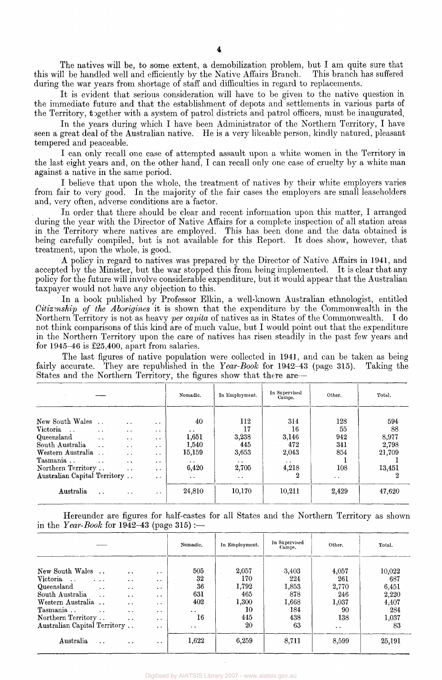The natives will be, to some extent, a demobilization problem, but I am quite sure that II be handled well and efficiently by the Native Affairs Branch. This branch has suffered this will be handled well and efficiently by the Native Affairs Branch. during the war years from shortage of staff and difficulties in regard to replacements.

It is evident that serious consideration will have to be given to the native question in the immediate future and that the establishment of depots and settlements in various parts of the Territory, together with a system of patrol districts and patrol officers, must be inaugurated.

In the years during which I have been Administrator of the Northern Territory, I have seen a great deal of the Australian native. He is a very likeable person, kindly natured, pleasant tempered and peaceable.

I can only recall one case of attempted assault upon a white women in the Territory in the last eight years and, on the other hand, I can recall only one case of cruelty by a white man against a native in the same period.

I believe that upon the whole, the treatment of natives by their white employers varies from fair to very good. In the majority of the fair cases the employers are small leaseholders and, very often, adverse conditions are a factor.

In order that there should be clear and recent information upon this matter, I arranged during the year with the Director of Native Affairs for a complete inspection of all station areas in the Territory where natives are employed. This has been done and the data obtained is being carefully compiled, but is not available for this Report. It does show, however, that treatment, upon the whole, is good.

A policy in regard to natives was prepared by the Director of Native Affairs in 1941, and accepted by the Minister, but the war stopped this from being implemented. It is clear that any policy for the future will involve considerable expenditure, but it would appear that the Australian taxpayer would not have any objection to this.

In a book published by Professor Elkin, a well-known Australian ethnologist, entitled *Citizenship of the Aborigines* it is shown that the expenditure by the Commonwealth in the Northern Territory is not as heavy *per capita* of natives as in States of the Commonwealth. I do not think comparisons of this kind are of much value, but I would point out that the expenditure in the Northern Territory upon the care of natives has risen steadily in the past few years and for 1945-46 is £25,400, apart from salaries.

The last figures of native population were collected in 1941, and can be taken as being<br>accurate. They are republished in the Year-Book for 1942–43 (page 315). Taking the fairly accurate. They are republished in the *Year-Book* for 1942-43 (page 315). States and the Northern Territory, the figures show that there are—

|                                                     |                                                          |                                                                  |                                                      | Nomadic.                                 | In Employment.                  | In Supervised<br>Camps.               | Other.               | Total.             |
|-----------------------------------------------------|----------------------------------------------------------|------------------------------------------------------------------|------------------------------------------------------|------------------------------------------|---------------------------------|---------------------------------------|----------------------|--------------------|
| New South Wales<br>Victoria<br>$\sim$<br>Queensland | $\ddot{\phantom{a}}$<br>$\ddot{\phantom{1}}$             | $\cdot$ .<br>$\cdot$ $\cdot$<br>$\ddot{\phantom{1}}$             | $\cdot$ $\cdot$<br>$\cdot$ .<br>$\ddot{\phantom{1}}$ | 40<br>$\ddot{\phantom{0}}$<br>1,651      | 112<br>17<br>3,238              | 314<br>16<br>3,146                    | 128<br>55<br>942     | 594<br>88<br>8,977 |
| South Australia<br>Western Australia<br>Tasmania    | $\ddot{\phantom{0}}$<br>$\cdots$<br>$\ddot{\phantom{a}}$ | $\bullet$ . $\bullet$<br>$\cdot$ $\cdot$<br>$\ddot{\phantom{1}}$ | $\cdot$ $\cdot$<br>$\cdot$ .<br>$\ddot{\phantom{1}}$ | 1,540<br>15,159<br>$\bullet$ . $\bullet$ | 445<br>3,653<br>$\cdot$ $\cdot$ | 472<br>2,043<br>$\bullet$ . $\bullet$ | 341<br>854           | 2,798<br>21,709    |
| Northern Territory<br>Australian Capital Territory  |                                                          | $\cdot$ .                                                        | $\bullet$<br>$\cdot$ $\cdot$                         | 6,420<br>$\ddot{\phantom{a}}$            | 2,705<br>$\bullet$ $\bullet$    | 4,218<br>2                            | 108<br>$\sim$ $\sim$ | 13,451             |
| Australia                                           | $\ddot{\phantom{0}}$                                     | $\cdots$                                                         | $\ddot{\phantom{1}}$                                 | 24,810                                   | 10,170                          | 10,211                                | 2,429                | 47,620             |

Hereunder are figures for half-castes for all States and the Northern Territory as shown in the *Year-Book* for  $1942-43$  (page  $315$ ):

|                                                                                                                                                                      |                                                           |                                                                                                                                               |                                                                                                                                                        | Nomadic.                                                                            | In Employment.                                           | In Supervised<br>Camps.                                   | Other.                                                                     | Total.                                                         |
|----------------------------------------------------------------------------------------------------------------------------------------------------------------------|-----------------------------------------------------------|-----------------------------------------------------------------------------------------------------------------------------------------------|--------------------------------------------------------------------------------------------------------------------------------------------------------|-------------------------------------------------------------------------------------|----------------------------------------------------------|-----------------------------------------------------------|----------------------------------------------------------------------------|----------------------------------------------------------------|
| New South Wales<br>Victoria<br>$\sim$ $\sim$<br>Queensland<br>South Australia<br>Western Australia<br>Tasmania<br>Northern Territory<br>Australian Capital Territory | $\cdot$ .<br>$\ddot{\phantom{a}}$<br>$\ddot{\phantom{0}}$ | $\ddot{\phantom{1}}$<br>$\cdots$<br>$\ddot{\phantom{0}}$<br>$\ddot{\phantom{0}}$<br>$\ddot{\phantom{0}}$<br>$\cdot$ .<br>$\ddot{\phantom{a}}$ | $\cdot$<br>$\cdot$ $\cdot$<br>$\cdot$ $\cdot$<br>$\ddot{\phantom{1}}$<br>$\cdot$ $\cdot$<br>$\ddot{\phantom{0}}$<br>$\cdot$ $\cdot$<br>$\cdot$ $\cdot$ | 505<br>32<br>36<br>631<br>402<br>$\ddot{\phantom{0}}$<br>16<br>$\ddot{\phantom{1}}$ | 2,057<br>170<br>1.792<br>465<br>1,300<br>10<br>445<br>20 | 3,403<br>224<br>1,853<br>878<br>1,668<br>184<br>438<br>63 | 4,057<br>261<br>2,770<br>246<br>1,037<br>90<br>138<br>$\ddot{\phantom{1}}$ | 10,022<br>687<br>6,451<br>2,220<br>4,407<br>284<br>1,037<br>83 |
| Australia                                                                                                                                                            | $\ddot{\phantom{0}}$                                      | $\cdot$ $\cdot$                                                                                                                               | $\cdot$ $\cdot$                                                                                                                                        | 1,622                                                                               | 6,259                                                    | 8,711                                                     | 8,599                                                                      | 25,191                                                         |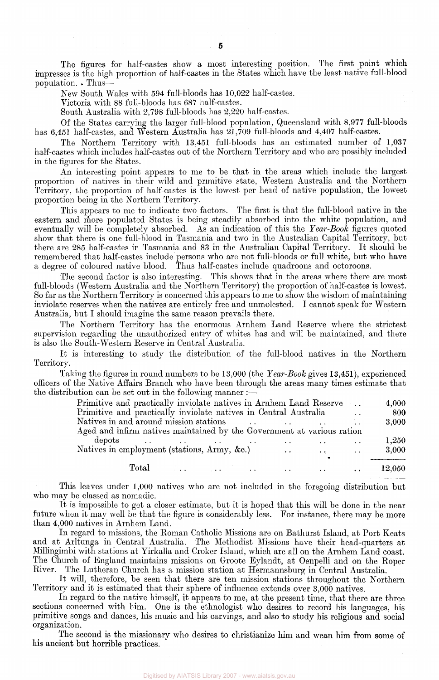The figures for half-castes show a most interesting position. The first point which impresses is the high proportion of half-castes in the States which have the least native full-blood population. . Thus—

New South Wales with 594 full-bloods has 10,022 half-castes.

Victoria with 88 full-bloods has 687 half-castes.

South Australia with 2,798 full-bloods has 2,220 half-castes.

Of the States carrying the larger full-blood population, Queensland with 8,977 full-bloods has 6,451 half-castes, and Western Australia has 21,709 full-bloods and 4,407 half-castes.

The Northern Territory with 13,451 full-bloods has an estimated number of 1,037 half-castes which includes half-castes out of the Northern Territory and who are possibly included in the figures for the States.

An interesting point appears to me to be that in the areas which include the largest proportion of natives in their wild and primitive state, Western Australia and the Northern Territory, the proportion of half-castes is the lowest per head of native population, the lowest proportion being in the Northern Territory.

This appears to me to indicate two factors. The first is that the full-blood native in the eastern and more populated States is being steadily absorbed into the white population, and eventually will be completely absorbed. As an indication of this the *Year-Booh* figures quoted show that there is one full-blood in Tasmania and two in the Australian Capital Territory, but there are 285 half-castes in Tasmania and 83 in the Australian Capital Territory. It should be remembered that half-castes include persons who are not full-bloods or full white, but who have a degree of coloured native blood. Thus half-castes include quadroons and octoroons.

The second factor is also interesting. This shows that in the areas where there are most full-bloods (Western Australia and the Northern Territory) the proportion of half-castes is lowest. So far as the Northern Territory is concerned this appears to me to show the wisdom of maintaining inviolate reserves when the natives are entirely free and unmolested. I cannot speak for Western Australia, but I should imagine the same reason prevails there.

The Northern Territory has the enormous Arnhem Land Reserve where the strictest supervision regarding the unauthorized entry of whites has and will be maintained, and there is also the South-Western Reserve in Central Australia.

It is interesting to study the distribution of the full-blood natives in the Northern Territory.

Taking the figures in round numbers to be 13,000 (the *Year-Book* gives 13,451), experienced officers of the Native Affairs Branch who have been through the areas many times estimate that the distribution can be set out in the following manner :-

| Primitive and practically inviolate natives in Arnhem Land Reserve     |  |                                                                                 |                                     | $\mathcal{F}^{\mathcal{A}}$ . The $\mathcal{F}^{\mathcal{A}}$ | 4,000  |
|------------------------------------------------------------------------|--|---------------------------------------------------------------------------------|-------------------------------------|---------------------------------------------------------------|--------|
| Primitive and practically inviolate natives in Central Australia       |  |                                                                                 |                                     |                                                               | -800   |
| Natives in and around mission stations                                 |  | the contract of the contract of the contract of the contract of the contract of |                                     |                                                               | 3,000  |
| Aged and infirm natives maintained by the Government at various ration |  |                                                                                 |                                     |                                                               |        |
|                                                                        |  |                                                                                 |                                     |                                                               | 1,250  |
| Natives in employment (stations, Army, &c.)                            |  | $\sim$ $\sim$                                                                   | <b><i>Contractor Contractor</i></b> | <b><i>Contract Contract</i></b>                               | 3,000  |
|                                                                        |  |                                                                                 | $\bullet$                           |                                                               |        |
|                                                                        |  |                                                                                 | <b>Contract Contract Contract</b>   | $\sim$ $\sim$ $\sim$                                          | 12,050 |

This leaves under 1,000 natives who are not included in the foregoing distribution but who may be classed as nomadic.

It is impossible to get a closer estimate, but it is hoped that this will be done in the near future when it may well be that the figure is considerably less. For instance, there may be more than 4,000 natives in Arnhem Land.

In regard to missions, the Roman Catholic Missions are on Bathurst Island, at Port Keats and at Arltunga in Central Australia. The Methodist Missions have their head-quarters at Millingimbi with stations at Yirkalla and Croker Island, which are all on the Arnhem Land coast. The Church of England maintains missions on Groote Eylandt, at Oenpelli and on the Roper River. The Lutheran Church has a mission station at Hermannsburg in Central Australia.

It will, therefore, be seen that there are ten mission stations throughout the Northern Territory and it is estimated that their sphere of influence extends over 3,000 natives.

In regard to the native himself, it appears to me, at the present time, that there are three sections concerned with him. One is the ethnologist who desires to record his languages, his primitive songs and dances, his music and his carvings, and also to study his religious and social organization.

The second is the missionary who desires to christianize him and wean him from some of his ancient but horrible practices.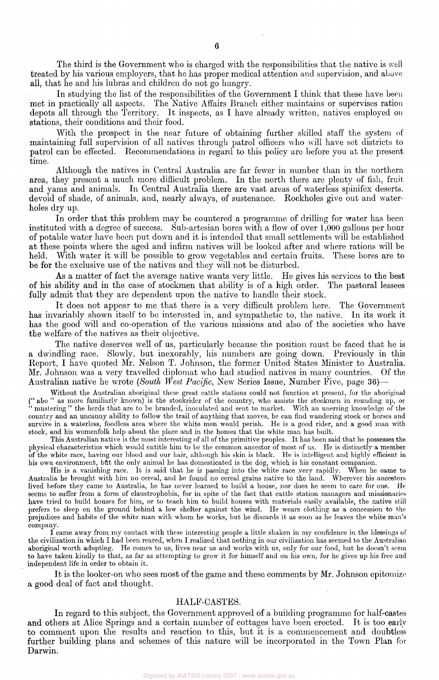The third is the Government who is charged with the responsibilities that the native is well treated by his various employers, that he has proper medical attention and supervision, and above all, that he and his lubras and children do not go hungry.

In studying the list of the responsibilities of the Government I think that these have been met in practically all aspects. The Native Affairs Branch either maintains or supervises ration depots all through the Territory. It inspects, as I have already written, natives employed on stations, their conditions and their food.

With the prospect in the near future of obtaining further skilled staff the system of maintaining full supervision of all natives through patrol officers who will have set districts to patrol can be effected. Recommendations in regard to this policy are before you at the present time.

Although the natives in Central Australia are far fewer in number than in the northern area, they present a much more difficult problem. In the north there are plenty of fish, fruit and yams and animals. In Central Australia there are vast areas of waterless spinifex deserts, devoid of shade, of animals, and, nearly always, of sustenance. Rockholes give out and waterholes dry up.

In order that this problem may be countered a programme of drilling for water has been instituted with a degree of success. Sub-artesian bores with a flow of over 1,000 gallons per hour of potable water have been put down and it is intended that small settlements will be established at these points where the aged and infirm natives will be looked after and where rations will be held. With water it will be possible to grow vegetables and certain fruits. These bores are to be for the exclusive use of the natives and they will not be disturbed.

As a matter of fact the average native wants very little. He gives his services to the best of his ability and in the case of stockmen that ability is of a high order. The pastoral lessees fully admit that they are dependent upon the native to handle their stock.

It does not appear to me that there is a very difficult problem here. The Government has invariably shown itself to be interested in, and sympathetic to, the native. In its work it has the good will and co-operation of the various missions and also of the societies who have the welfare of the natives as their objective.

The native deserves well of us, particularly because the position must be faced that he is a dwindling race. Slowly, but inexorably, his numbers are going down. Previously in this Report, I have quoted Mr. Nelson T. Johnson, the former United States Minister to Australia. Mr. Johnson was a very travelled diplomat who had studied natives in many countries. Of the Australian native he wrote *(South West Pacific,* New Series Issue, Number Five, page 36)—

Without the Australian aboriginal these great cattle stations could not function at present, for the aboriginal (" abo " as more familiarly known) is the stockrider of the country, who assists the stockmen in rounding up, or " mustering " the herds that are to be branded, inoculated and sent to market. With an unerring knowledge of the country and an uncanny ability to follow the trail of anything that moves, he can find wandering stock or horses and survive in a waterless, foodless area where the white men would perish. He is a good rider, and a good man with stock, and his womenfolk help about the place and in the homes that the white man has built.

This Australian native is the most interesting of all of the primitive peoples. It has been said that he possesses the physical characteristics which would entitle him to be the common ancestor of most of us. He is distinctly a member of the white race, having our blood and our hair, although his skin is black. He is intelligent and highly efficient in his own environment, but the only animal he has domesticated is the dog, which is his constant companion.

His is a vanishing race. It is said that he is passing into the white race very rapidly. When he came to Australia he brought with him no cereal, and he found no cereal grains native to the land. Wherever his ancestors lived before they came to Australia, he has never learned to build a house, nor does he seem to care for one. He seems to suffer from a form of claustrophobia, for in spite of the fact that cattle station managers and missionaries have tried to build houses for him, or to teach him to build houses with materials easily available, the native still prefers to sleep on the ground behind a low shelter against the wind. He wears clothing as a concession to the prejudices and habits of the white man with whom he works, but he discards it as soon as he leaves the white man's company.

I came away from my contact with these interesting people a little shaken in my confidence in the blessings of the civilization in which I had been reared, when I realized that nothing in our civilization has seemed to the Australian aboriginal worth adopting. He comes to us, lives near us and works with us, only for our food, but he doesn't seem to have taken kindly to that, as far as attempting to grow it for himself and on his own, for he gives up his free and independent life in order to obtain it.

It is the looker-on who sees most of the game and these comments by Mr. Johnson epitomize a good deal of fact and thought.

#### HALF-CASTES.

In regard to this subject, the Government approved of a building programme for half-castes and others at Alice Springs and a certain number of cottages have been erected. It is too early to comment upon the results and reaction to this, but it is a commencement and doubtless further building plans and schemes of this nature will be incorporated in the Town Plan for Darwin.